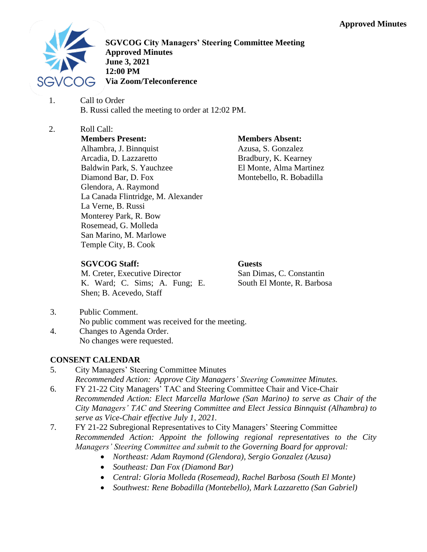

**SGVCOG City Managers' Steering Committee Meeting Approved Minutes June 3, 2021 12:00 PM Via Zoom/Teleconference**

- 1. Call to Order B. Russi called the meeting to order at 12:02 PM.
- 2. Roll Call: **Members Present:** Alhambra, J. Binnquist Arcadia, D. Lazzaretto Baldwin Park, S. Yauchzee Diamond Bar, D. Fox Glendora, A. Raymond La Canada Flintridge, M. Alexander La Verne, B. Russi Monterey Park, R. Bow Rosemead, G. Molleda San Marino, M. Marlowe Temple City, B. Cook

# **Members Absent:**

Azusa, S. Gonzalez Bradbury, K. Kearney El Monte, Alma Martinez Montebello, R. Bobadilla

## **SGVCOG Staff:**

M. Creter, Executive Director K. Ward; C. Sims; A. Fung; E. Shen; B. Acevedo, Staff

**Guests** San Dimas, C. Constantin South El Monte, R. Barbosa

- 3. Public Comment.
	- No public comment was received for the meeting.
- 4. Changes to Agenda Order. No changes were requested.

## **CONSENT CALENDAR**

- 5. City Managers' Steering Committee Minutes *Recommended Action: Approve City Managers' Steering Committee Minutes.*
- 6. FY 21-22 City Managers' TAC and Steering Committee Chair and Vice-Chair *Recommended Action: Elect Marcella Marlowe (San Marino) to serve as Chair of the City Managers' TAC and Steering Committee and Elect Jessica Binnquist (Alhambra) to serve as Vice-Chair effective July 1, 2021.*
- 7. FY 21-22 Subregional Representatives to City Managers' Steering Committee *Recommended Action: Appoint the following regional representatives to the City Managers' Steering Committee and submit to the Governing Board for approval:* 
	- *Northeast: Adam Raymond (Glendora), Sergio Gonzalez (Azusa)*
	- *Southeast: Dan Fox (Diamond Bar)*
	- *Central: Gloria Molleda (Rosemead), Rachel Barbosa (South El Monte)*
	- *Southwest: Rene Bobadilla (Montebello), Mark Lazzaretto (San Gabriel)*